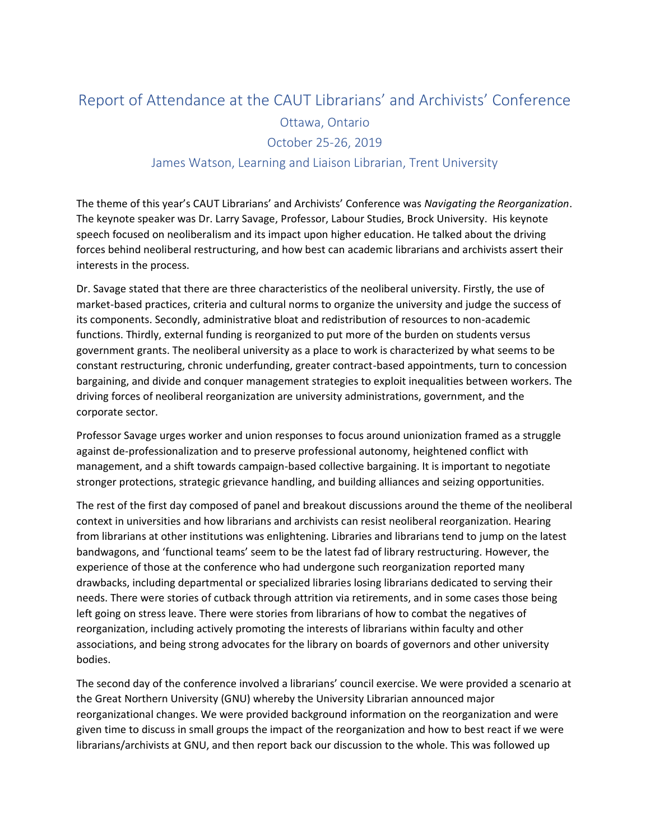## Report of Attendance at the CAUT Librarians' and Archivists' Conference Ottawa, Ontario October 25-26, 2019 James Watson, Learning and Liaison Librarian, Trent University

The theme of this year's CAUT Librarians' and Archivists' Conference was *Navigating the Reorganization*. The keynote speaker was Dr. Larry Savage, Professor, Labour Studies, Brock University. His keynote speech focused on neoliberalism and its impact upon higher education. He talked about the driving forces behind neoliberal restructuring, and how best can academic librarians and archivists assert their interests in the process.

Dr. Savage stated that there are three characteristics of the neoliberal university. Firstly, the use of market-based practices, criteria and cultural norms to organize the university and judge the success of its components. Secondly, administrative bloat and redistribution of resources to non-academic functions. Thirdly, external funding is reorganized to put more of the burden on students versus government grants. The neoliberal university as a place to work is characterized by what seems to be constant restructuring, chronic underfunding, greater contract-based appointments, turn to concession bargaining, and divide and conquer management strategies to exploit inequalities between workers. The driving forces of neoliberal reorganization are university administrations, government, and the corporate sector.

Professor Savage urges worker and union responses to focus around unionization framed as a struggle against de-professionalization and to preserve professional autonomy, heightened conflict with management, and a shift towards campaign-based collective bargaining. It is important to negotiate stronger protections, strategic grievance handling, and building alliances and seizing opportunities.

The rest of the first day composed of panel and breakout discussions around the theme of the neoliberal context in universities and how librarians and archivists can resist neoliberal reorganization. Hearing from librarians at other institutions was enlightening. Libraries and librarians tend to jump on the latest bandwagons, and 'functional teams' seem to be the latest fad of library restructuring. However, the experience of those at the conference who had undergone such reorganization reported many drawbacks, including departmental or specialized libraries losing librarians dedicated to serving their needs. There were stories of cutback through attrition via retirements, and in some cases those being left going on stress leave. There were stories from librarians of how to combat the negatives of reorganization, including actively promoting the interests of librarians within faculty and other associations, and being strong advocates for the library on boards of governors and other university bodies.

The second day of the conference involved a librarians' council exercise. We were provided a scenario at the Great Northern University (GNU) whereby the University Librarian announced major reorganizational changes. We were provided background information on the reorganization and were given time to discuss in small groups the impact of the reorganization and how to best react if we were librarians/archivists at GNU, and then report back our discussion to the whole. This was followed up